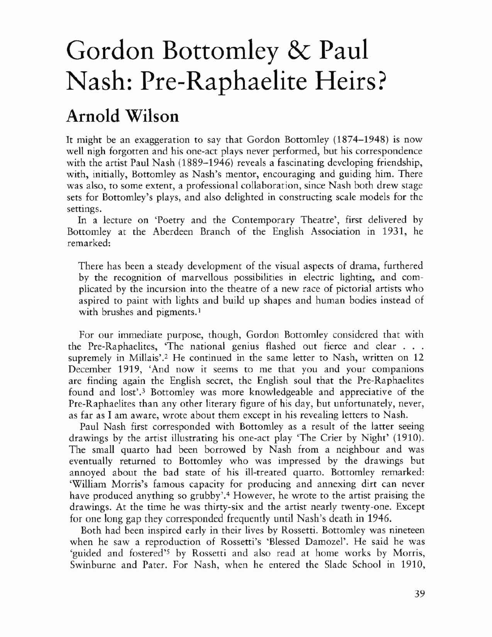## Gordon Bottomley & Paul Nash: Pre-Raphaelite Heirs?

## Arnold Wilson

It might be an exaggeration to say that Gordon Bottomley (1874-1948) is now well nigh forgotten and his one-act plays never performed, but his correspondence with the artist Paul Nash (1889–1946) reveals a fascinating developing friendship, with, initially, Bottomley as Nash's mentor, encouraging and guiding him. There was also, to some extent, a professional collaboration, since Nash both drew stage sets for Botromley's plays, and also delighted in constructing scale models for the settings.

In a lecture on 'Poetry and the Contemporary Theatre', first delivered by Bottomley at the Aberdeen Branch of the English Association in 1931, he remarked:

There has been a steady development of the visual aspects of drama, furthered by the recognition of marvellous possibilities in electric lighting, and complicated by the incursion into the theatre of a new race of pictorial artists who aspired to paint with lights and build up shapes and human bodies instead of with brushes and pigments.<sup>1</sup>

For our immediate purposc, though, Gordon Bottomley considered that with the Pre-Raphaelites, 'The national genius flashed out fierce and clear . . . supremely in Millais'.2 He continued in the same letter to Nash, written on 12 December 1919, 'And now it seems to me that you and your companions are finding again the English secret, the English soul that the Pre-Raphaelites found and 10st',3 Bottomley was more knowledgeable and appreciative of the Pre-Raphaelites than any other literary figure of his day, but unfortunately, never, as far as I am aware, wrote about them except in his revealing letters to Nash.

Paul Nash first corresponded with Bottomley as a result of the latter seeing drawings by the artist illustrating his one-act play 'The Crier by Night' (1910). The small quarto had been borrowed by Nash from a neighbour and was eventually returned to Bottomley who was impressed by the drawings but annoyed about the bad state of his ill-treated quarto. Bottomley remarked: 'William Morris's famous capacity for producing and annexing dirt can never have produced anything so grubby'.4 However, he wrote to the artist praising the drawings. At the time he was thirty-six and the artist nearly twenty-one. Except for one long gap they corresponded frequently until Nash's dearh in 1946.

Both had been inspired early in their lives by Rossetti. Bottomley was nineteen when he saw a reproduction of Rossetti's 'Blessed Damozel'. He said he was 'guided and fostered'S by Rossetti and also read at home works by Morris, Swinburne and Pater. For Nash, when he entered the Slade School in 1910,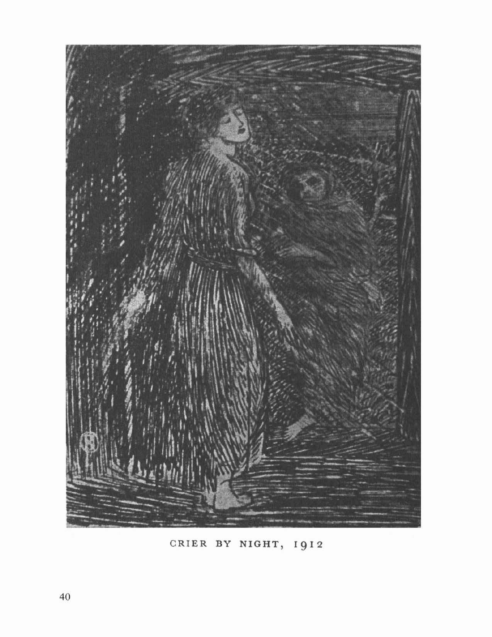

CRIER BY NIGHT, 1912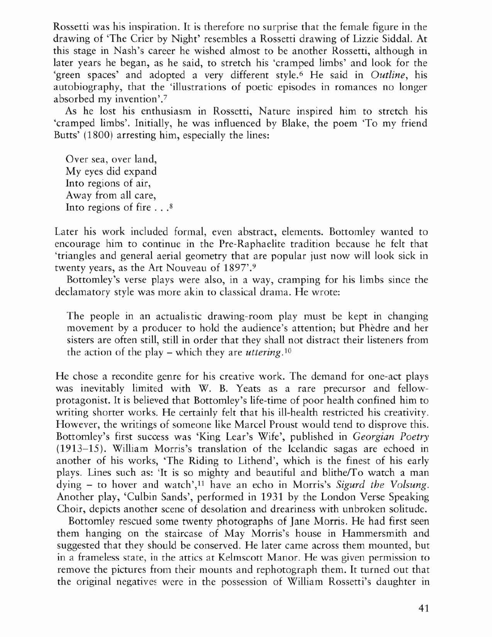Rossetti was his inspiration. It is therefore no surprise that the female figure in the drawing of 'The Crier by Night' resembles a Rosserri drawing of Lizzie Siddal. At this stage in Nash's career he wished almost to be another Rossetti, although in later years he began, as he said, to stretch his 'cramped limbs' and look for the 'green spaces' and adopted a very different style. <sup>6</sup> He said in *Outline,* his autobiography, that the 'illustrations of poetic episodes in romances no longer absorbed my invention'.<sup>7</sup>

As he lost his enthusiasm in Rossetti, Nature inspired him to stretch his 'cramped limbs'. Initially, he was influenced by Blake, the poem 'To my friend Butts' (1800) arresting him, especially the lines:

Over sea, over land, My eyes did expand Into regions of air, Away from all care, Into regions of fire ...8

Later his work included formal, even abstract, elements. Bottomley wanted to encourage him to continue in the Pre-Raphaelite tradition because he felt that 'triangles and general aerial geometry that are popular just now will look sick in twenty years, as the Art Nouveau of 1897'.9

Bottomley's verse plays were also, in a way, cramping for his limbs since the declamatory style was more akin to classical drama. He wrote:

The people in an actualistic drawing· room play must be kept in changing movement by a producer to hold the audience's attention; but Phèdre and her sisters are often still, still in order that they shall not distract their listeners from the action of the play – which they are *uttering*.<sup>10</sup>

He chose a recondite genre for his creative work. The demand for one-act plays was inevitably limited with W. B. Yeats as a rare precursor and fellowprotagonist. It is believed that Bottomley's life-time of poor health confined him to writing shorter works. He certainly felt that his ill-health restricted his creativity. However, the writings of someone like Marcel Proust would tend to disprove this. Bottomley's first success was 'King Lear's Wife', published in *Georgian Poetry* (1913-15). William Morris's translation of the Icelandic sagas are echoed in another of his works, 'The Riding to Lithend', which is the finest of his early plays. Lines such as: 'It is so mighty and beautiful and blithe/To watch a man dying - to hover and watch',ll have an echo in Morris's *Sigurd the Volsung.* Another play, 'Culbin Sands', performed in 1931 by the London Verse Speaking Choir, depicts another scene of desolation and dreariness with unbroken solitude.

Bottomley rescued some twenty photographs of Jane Morris. He had first seen them hanging on the staircase of May Morris's house in Hammersmith and suggested that they should be conserved. He later came across them mounted, but in a frameless state, in the attics at Kelmscott Manor. He was given permission to remove the pictures from their mounts and rephotograph them. It turned out that the original negatives were in the possession of William Rossetti's daughter in